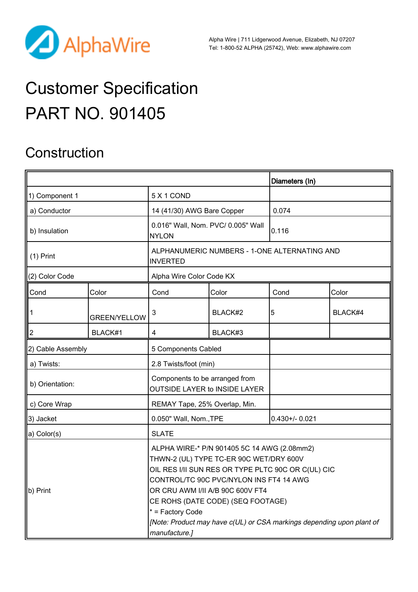

Alpha Wire | 711 Lidgerwood Avenue, Elizabeth, NJ 07207 Tel: 1-800-52 ALPHA (25742), Web: [www.alphawire.com](http://www.alphawire.com)

# Customer Specification PART NO. 901405

#### **Construction**

|                                        |                     |                                                                                                                                                                                                                                                                                                                                                                                |         | Diameters (In)    |         |
|----------------------------------------|---------------------|--------------------------------------------------------------------------------------------------------------------------------------------------------------------------------------------------------------------------------------------------------------------------------------------------------------------------------------------------------------------------------|---------|-------------------|---------|
| 1) Component 1                         |                     | 5 X 1 COND                                                                                                                                                                                                                                                                                                                                                                     |         |                   |         |
| a) Conductor                           |                     | 14 (41/30) AWG Bare Copper                                                                                                                                                                                                                                                                                                                                                     |         | 0.074             |         |
| b) Insulation                          |                     | 0.016" Wall, Nom. PVC/ 0.005" Wall<br><b>NYLON</b>                                                                                                                                                                                                                                                                                                                             |         | 0.116             |         |
| $(1)$ Print                            |                     | ALPHANUMERIC NUMBERS - 1-ONE ALTERNATING AND<br><b>INVERTED</b>                                                                                                                                                                                                                                                                                                                |         |                   |         |
| (2) Color Code                         |                     | Alpha Wire Color Code KX                                                                                                                                                                                                                                                                                                                                                       |         |                   |         |
| Cond                                   | Color               | Cond                                                                                                                                                                                                                                                                                                                                                                           | Color   | Cond              | Color   |
| $\begin{bmatrix} 1 \\ 2 \end{bmatrix}$ | <b>GREEN/YELLOW</b> | 3                                                                                                                                                                                                                                                                                                                                                                              | BLACK#2 | 5                 | BLACK#4 |
|                                        | BLACK#1             | 4                                                                                                                                                                                                                                                                                                                                                                              | BLACK#3 |                   |         |
| 2) Cable Assembly                      |                     | 5 Components Cabled                                                                                                                                                                                                                                                                                                                                                            |         |                   |         |
| a) Twists:                             |                     | 2.8 Twists/foot (min)                                                                                                                                                                                                                                                                                                                                                          |         |                   |         |
| b) Orientation:                        |                     | Components to be arranged from<br><b>OUTSIDE LAYER to INSIDE LAYER</b>                                                                                                                                                                                                                                                                                                         |         |                   |         |
| c) Core Wrap                           |                     | REMAY Tape, 25% Overlap, Min.                                                                                                                                                                                                                                                                                                                                                  |         |                   |         |
| 3) Jacket                              |                     | 0.050" Wall, Nom., TPE                                                                                                                                                                                                                                                                                                                                                         |         | $0.430 + - 0.021$ |         |
| a) Color(s)                            |                     | <b>SLATE</b>                                                                                                                                                                                                                                                                                                                                                                   |         |                   |         |
| $\ $ b) Print                          |                     | ALPHA WIRE-* P/N 901405 5C 14 AWG (2.08mm2)<br>THWN-2 (UL) TYPE TC-ER 90C WET/DRY 600V<br>OIL RES I/II SUN RES OR TYPE PLTC 90C OR C(UL) CIC<br>CONTROL/TC 90C PVC/NYLON INS FT4 14 AWG<br>OR CRU AWM I/II A/B 90C 600V FT4<br>CE ROHS (DATE CODE) (SEQ FOOTAGE)<br>* = Factory Code<br>[Note: Product may have c(UL) or CSA markings depending upon plant of<br>manufacture.] |         |                   |         |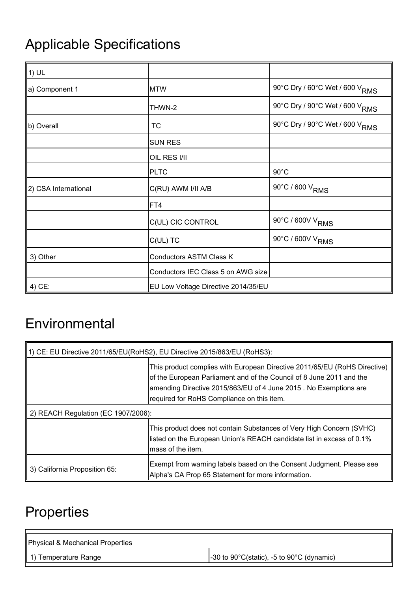# Applicable Specifications

| $\parallel$ 1) UL    |                                     |                                            |
|----------------------|-------------------------------------|--------------------------------------------|
| ∥a) Component 1      | <b>MTW</b>                          | 90°C Dry / 60°C Wet / 600 V <sub>RMS</sub> |
|                      | THWN-2                              | 90°C Dry / 90°C Wet / 600 V <sub>RMS</sub> |
| b) Overall           | <b>TC</b>                           | 90°C Dry / 90°C Wet / 600 V <sub>RMS</sub> |
|                      | <b>SUN RES</b>                      |                                            |
|                      | OIL RES I/II                        |                                            |
|                      | <b>PLTC</b>                         | $90^{\circ}$ C                             |
| 2) CSA International | C(RU) AWM I/II A/B                  | 90°C / 600 V <sub>RMS</sub>                |
|                      | FT4                                 |                                            |
|                      | C(UL) CIC CONTROL                   | 90°C / 600V V <sub>RMS</sub>               |
|                      | $C(UL)$ TC                          | 90°C / 600V V <sub>RMS</sub>               |
| 3) Other             | Conductors ASTM Class K             |                                            |
|                      | Conductors IEC Class 5 on AWG size  |                                            |
| 4) CE:               | EU Low Voltage Directive 2014/35/EU |                                            |

### **Environmental**

| 1) CE: EU Directive 2011/65/EU(RoHS2), EU Directive 2015/863/EU (RoHS3): |                                                                                                                                                                                                                                                                     |  |
|--------------------------------------------------------------------------|---------------------------------------------------------------------------------------------------------------------------------------------------------------------------------------------------------------------------------------------------------------------|--|
|                                                                          | This product complies with European Directive 2011/65/EU (RoHS Directive)<br>of the European Parliament and of the Council of 8 June 2011 and the<br>amending Directive 2015/863/EU of 4 June 2015. No Exemptions are<br>required for RoHS Compliance on this item. |  |
| 2) REACH Regulation (EC 1907/2006):                                      |                                                                                                                                                                                                                                                                     |  |
|                                                                          | This product does not contain Substances of Very High Concern (SVHC)<br>listed on the European Union's REACH candidate list in excess of 0.1%<br>lmass of the item.                                                                                                 |  |
| 3) California Proposition 65:                                            | Exempt from warning labels based on the Consent Judgment. Please see<br>Alpha's CA Prop 65 Statement for more information.                                                                                                                                          |  |

## **Properties**

| Physical & Mechanical Properties |                                                                   |
|----------------------------------|-------------------------------------------------------------------|
| 1) Temperature Range             | $-30$ to 90 $\degree$ C(static), $-5$ to 90 $\degree$ C (dynamic) |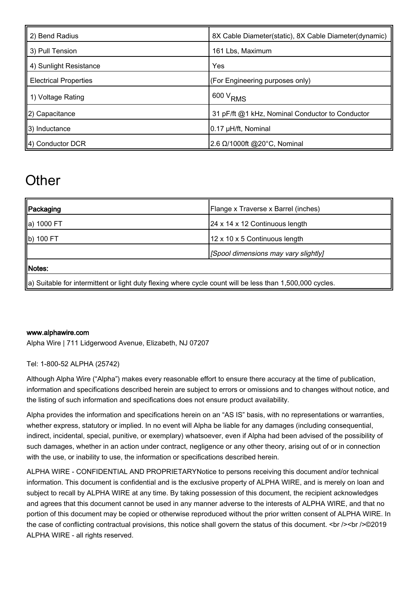| 2) Bend Radius               | 8X Cable Diameter(static), 8X Cable Diameter(dynamic) |
|------------------------------|-------------------------------------------------------|
| 3) Pull Tension              | 161 Lbs, Maximum                                      |
| 4) Sunlight Resistance       | Yes                                                   |
| <b>Electrical Properties</b> | (For Engineering purposes only)                       |
| 1) Voltage Rating            | $1600 V$ RMS                                          |
| 2) Capacitance               | 31 pF/ft @1 kHz, Nominal Conductor to Conductor       |
| 3) Inductance                | 0.17 µH/ft, Nominal                                   |
| $\parallel$ 4) Conductor DCR | 2.6 Ω/1000ft @20°C, Nominal                           |

### **Other**

| Packaging                                                                                                | Flange x Traverse x Barrel (inches)  |  |
|----------------------------------------------------------------------------------------------------------|--------------------------------------|--|
| ∥a) 1000 FT                                                                                              | 24 x 14 x 12 Continuous length       |  |
| b) 100 FT                                                                                                | 12 x 10 x 5 Continuous length        |  |
|                                                                                                          | [Spool dimensions may vary slightly] |  |
| Notes:                                                                                                   |                                      |  |
| a) Suitable for intermittent or light duty flexing where cycle count will be less than 1,500,000 cycles. |                                      |  |

#### [www.alphawire.com](http://www.alphawire.com)

Alpha Wire | 711 Lidgerwood Avenue, Elizabeth, NJ 07207

Tel: 1-800-52 ALPHA (25742)

Although Alpha Wire ("Alpha") makes every reasonable effort to ensure there accuracy at the time of publication, information and specifications described herein are subject to errors or omissions and to changes without notice, and the listing of such information and specifications does not ensure product availability.

Alpha provides the information and specifications herein on an "AS IS" basis, with no representations or warranties, whether express, statutory or implied. In no event will Alpha be liable for any damages (including consequential, indirect, incidental, special, punitive, or exemplary) whatsoever, even if Alpha had been advised of the possibility of such damages, whether in an action under contract, negligence or any other theory, arising out of or in connection with the use, or inability to use, the information or specifications described herein.

ALPHA WIRE - CONFIDENTIAL AND PROPRIETARYNotice to persons receiving this document and/or technical information. This document is confidential and is the exclusive property of ALPHA WIRE, and is merely on loan and subject to recall by ALPHA WIRE at any time. By taking possession of this document, the recipient acknowledges and agrees that this document cannot be used in any manner adverse to the interests of ALPHA WIRE, and that no portion of this document may be copied or otherwise reproduced without the prior written consent of ALPHA WIRE. In the case of conflicting contractual provisions, this notice shall govern the status of this document.  $\text{>}\text{>}\text{>}\text{>}\text{>}\text{>}\text{>}\text{>}\text{>}\text{>}\text{>}\text{>}\text{>}\text{>}\text{>}\text{>}\text{>}\text{>}\text{>}\text{>$ ALPHA WIRE - all rights reserved.